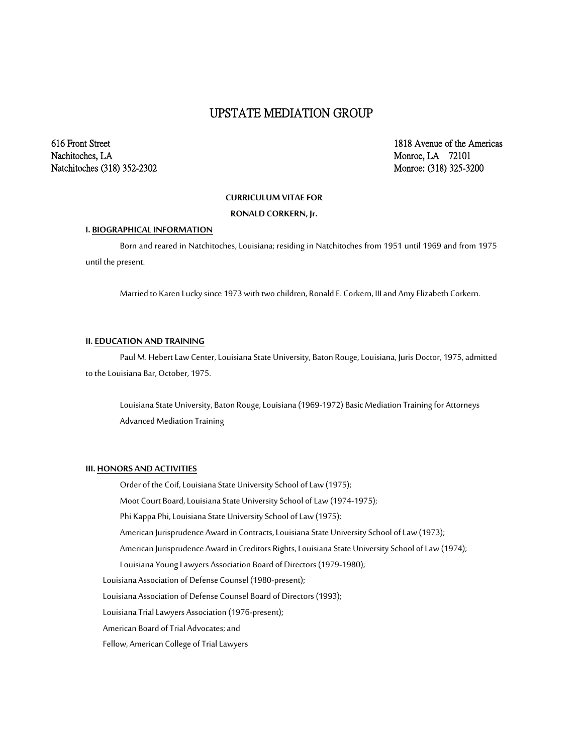# UPSTATE MEDIATION GROUP

Nachitoches, LA Monroe, LA 72101 Natchitoches (318) 352-2302 Monroe: (318) 325-3200

616 Front Street 1818 Avenue of the Americas

#### **CURRICULUM VITAE FOR**

**RONALD CORKERN, Jr.**

## **I. BIOGRAPHICAL INFORMATION**

Born and reared in Natchitoches, Louisiana; residing in Natchitoches from 1951 until 1969 and from 1975 until the present.

Married to Karen Lucky since 1973 with two children, Ronald E. Corkern, III and Amy Elizabeth Corkern.

#### **II. EDUCATION AND TRAINING**

Paul M. Hebert Law Center, Louisiana State University, Baton Rouge, Louisiana, Juris Doctor, 1975, admitted to the Louisiana Bar, October, 1975.

Louisiana State University, Baton Rouge, Louisiana (1969-1972) Basic Mediation Training for Attorneys Advanced Mediation Training

### **III. HONORS AND ACTIVITIES**

Order of the Coif, Louisiana State University School of Law (1975);

Moot Court Board, Louisiana State University School of Law (1974-1975);

Phi Kappa Phi, Louisiana State University School of Law (1975);

American Jurisprudence Award in Contracts, Louisiana State University School of Law (1973);

American Jurisprudence Award in Creditors Rights, Louisiana State University School of Law (1974);

Louisiana Young Lawyers Association Board of Directors (1979-1980);

Louisiana Association of Defense Counsel (1980-present);

Louisiana Association of Defense Counsel Board of Directors (1993);

Louisiana Trial Lawyers Association (1976-present);

American Board of Trial Advocates; and

Fellow, American College of Trial Lawyers